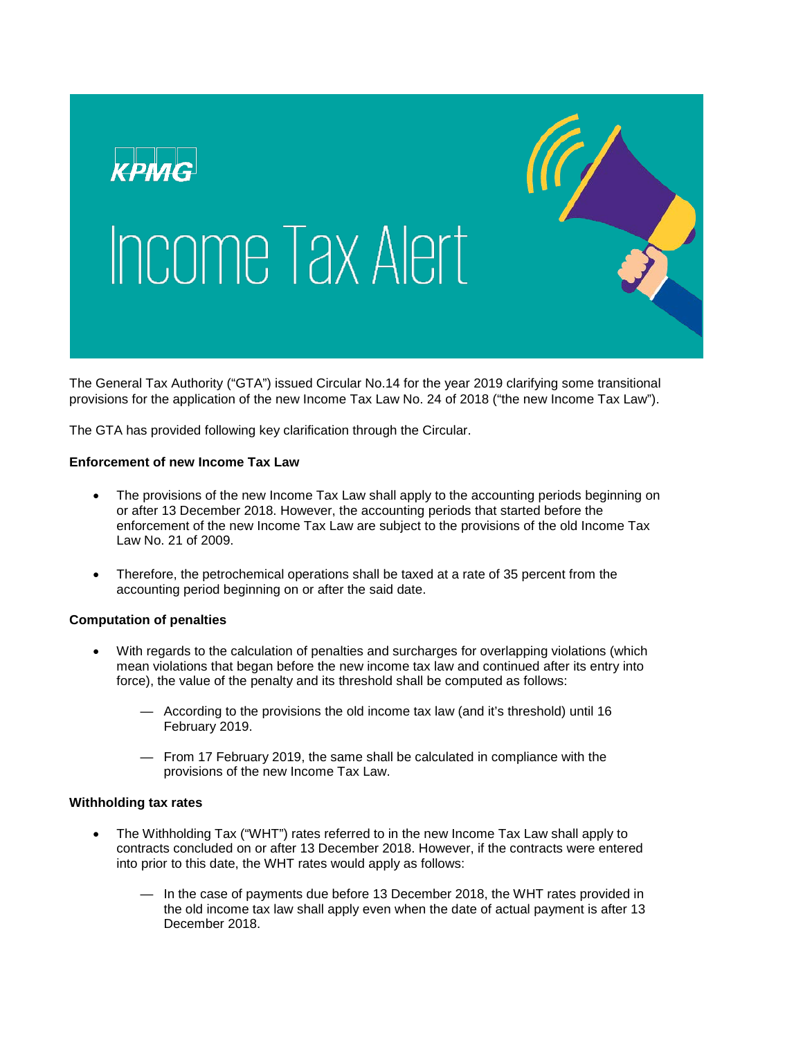

The General Tax Authority ("GTA") issued Circular No.14 for the year 2019 clarifying some transitional provisions for the application of the new Income Tax Law No. 24 of 2018 ("the new Income Tax Law").

The GTA has provided following key clarification through the Circular.

# **Enforcement of new Income Tax Law**

- The provisions of the new Income Tax Law shall apply to the accounting periods beginning on or after 13 December 2018. However, the accounting periods that started before the enforcement of the new Income Tax Law are subject to the provisions of the old Income Tax Law No. 21 of 2009.
- Therefore, the petrochemical operations shall be taxed at a rate of 35 percent from the accounting period beginning on or after the said date.

# **Computation of penalties**

- With regards to the calculation of penalties and surcharges for overlapping violations (which mean violations that began before the new income tax law and continued after its entry into force), the value of the penalty and its threshold shall be computed as follows:
	- According to the provisions the old income tax law (and it's threshold) until 16 February 2019.
	- From 17 February 2019, the same shall be calculated in compliance with the provisions of the new Income Tax Law.

# **Withholding tax rates**

- The Withholding Tax ("WHT") rates referred to in the new Income Tax Law shall apply to contracts concluded on or after 13 December 2018. However, if the contracts were entered into prior to this date, the WHT rates would apply as follows:
	- In the case of payments due before 13 December 2018, the WHT rates provided in the old income tax law shall apply even when the date of actual payment is after 13 December 2018.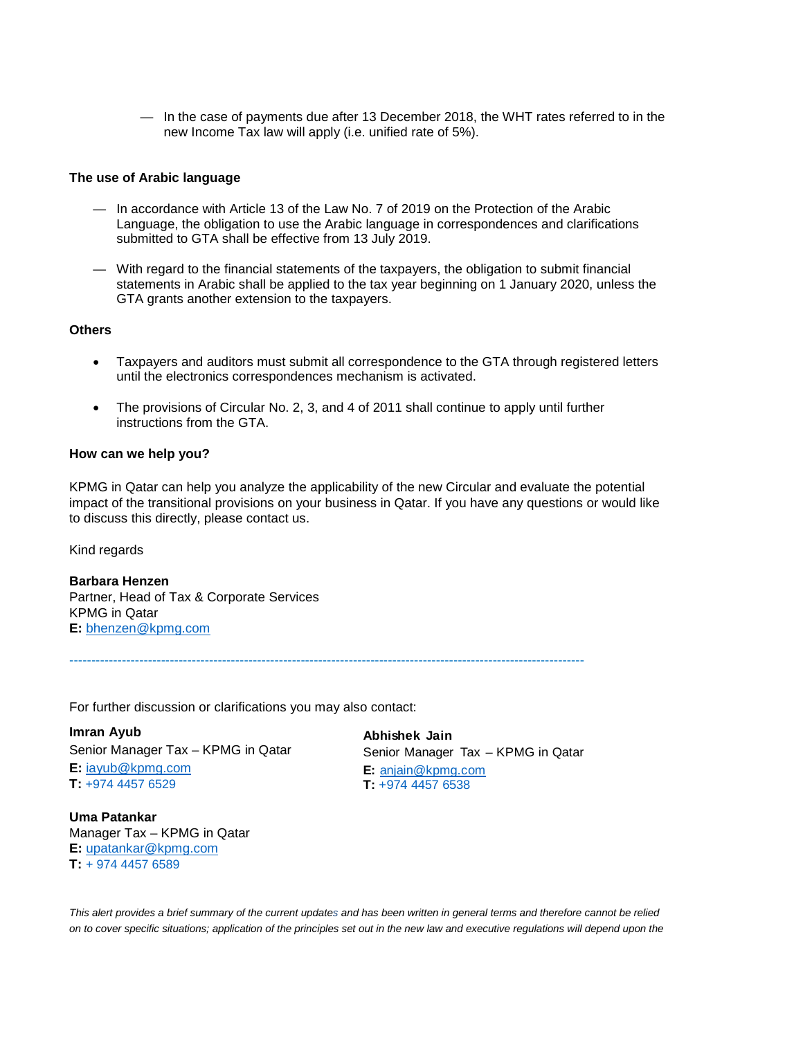— In the case of payments due after 13 December 2018, the WHT rates referred to in the new Income Tax law will apply (i.e. unified rate of 5%).

### **The use of Arabic language**

- In accordance with Article 13 of the Law No. 7 of 2019 on the Protection of the Arabic Language, the obligation to use the Arabic language in correspondences and clarifications submitted to GTA shall be effective from 13 July 2019.
- With regard to the financial statements of the taxpayers, the obligation to submit financial statements in Arabic shall be applied to the tax year beginning on 1 January 2020, unless the GTA grants another extension to the taxpayers.

#### **Others**

- Taxpayers and auditors must submit all correspondence to the GTA through registered letters until the electronics correspondences mechanism is activated.
- The provisions of Circular No. 2, 3, and 4 of 2011 shall continue to apply until further instructions from the GTA.

#### **How can we help you?**

KPMG in Qatar can help you analyze the applicability of the new Circular and evaluate the potential impact of the transitional provisions on your business in Qatar. If you have any questions or would like to discuss this directly, please contact us.

Kind regards

**Barbara Henzen** Partner, Head of Tax & Corporate Services KPMG in Qatar **E:** [bhenzen@kpmg.com](mailto:bhenzen@kpmg.com)

----------------------------------------------------------------------------------------------------------------------

For further discussion or clarifications you may also contact:

**Imran Ayub**  Senior Manager Tax – KPMG in Qatar **E:** [iayub@kpmg.com](mailto:iayub@kpmg.com) **T:** +974 4457 6529

**Uma Patankar** Manager Tax – KPMG in Qatar **E:** [upatankar@kpmg.com](mailto:upatankar@kpmg.com) **T:** + 974 4457 6589

**Abhishek Jain** Senior Manager Tax – KPMG in Qatar **E:** [anjain@kpmg.com](mailto:anjain@kpmg.com) **T:** +974 4457 6538

*This alert provides a brief summary of the current updates and has been written in general terms and therefore cannot be relied on to cover specific situations; application of the principles set out in the new law and executive regulations will depend upon the*